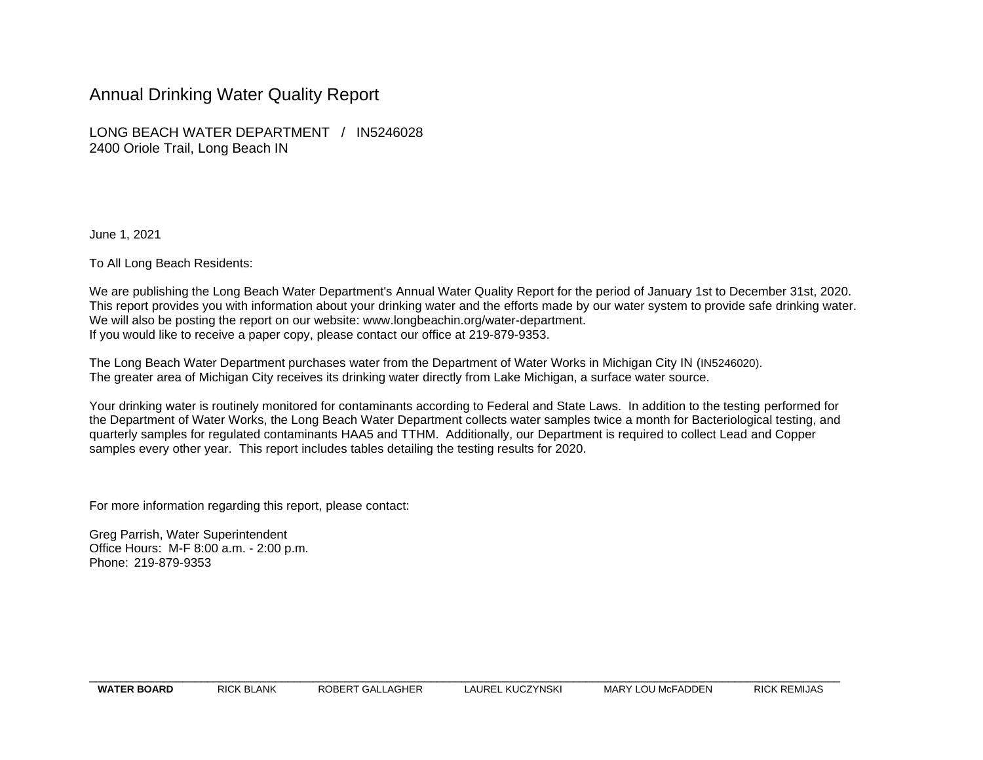## Annual Drinking Water Quality Report

LONG BEACH WATER DEPARTMENT / IN5246028 2400 Oriole Trail, Long Beach IN

June 1, 2021

To All Long Beach Residents:

We are publishing the Long Beach Water Department's Annual Water Quality Report for the period of January 1st to December 31st, 2020. This report provides you with information about your drinking water and the efforts made by our water system to provide safe drinking water. We will also be posting the report on our website: [www.longbeachin.org/water-department.](http://www.longbeachin.org/water-department) If you would like to receive a paper copy, please contact our office at 219-879-9353.

The Long Beach Water Department purchases water from the Department of Water Works in Michigan City IN (IN5246020). The greater area of Michigan City receives its drinking water directly from Lake Michigan, a surface water source.

Your drinking water is routinely monitored for contaminants according to Federal and State Laws. In addition to the testing performed for the Department of Water Works, the Long Beach Water Department collects water samples twice a month for Bacteriological testing, and quarterly samples for regulated contaminants HAA5 and TTHM. Additionally, our Department is required to collect Lead and Copper samples every other year. This report includes tables detailing the testing results for 2020.

For more information regarding this report, please contact:

Greg Parrish, Water Superintendent Office Hours: M-F 8:00 a.m. - 2:00 p.m. Phone: 219-879-9353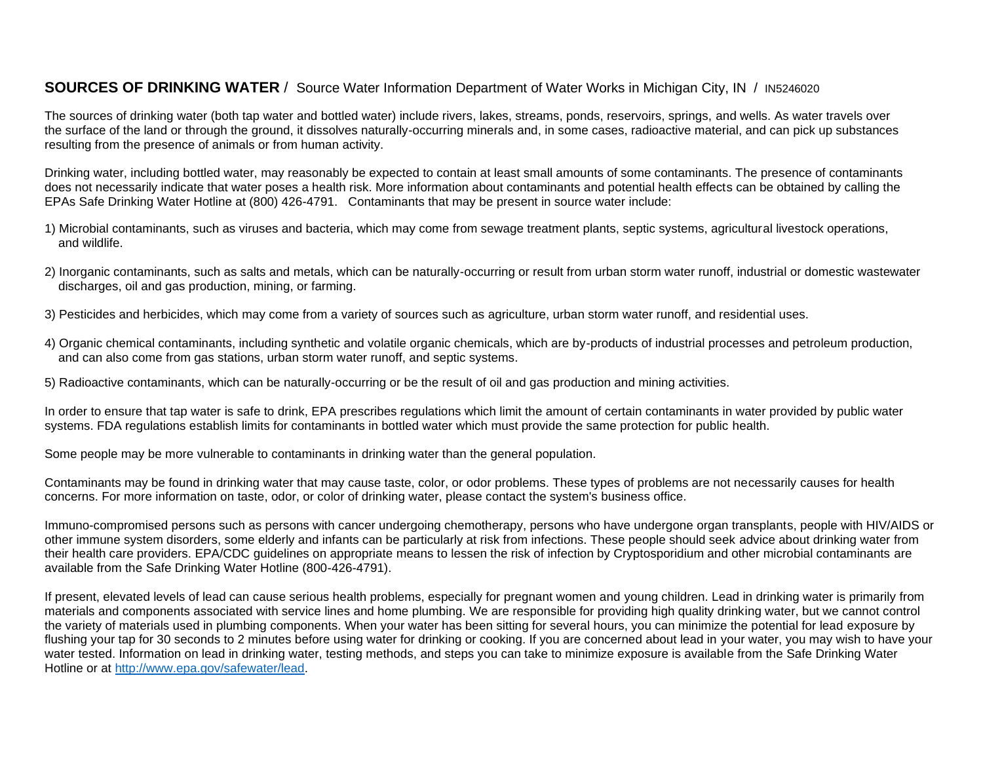#### **SOURCES OF DRINKING WATER** / Source Water Information Department of Water Works in Michigan City, IN / IN5246020

The sources of drinking water (both tap water and bottled water) include rivers, lakes, streams, ponds, reservoirs, springs, and wells. As water travels over the surface of the land or through the ground, it dissolves naturally-occurring minerals and, in some cases, radioactive material, and can pick up substances resulting from the presence of animals or from human activity.

Drinking water, including bottled water, may reasonably be expected to contain at least small amounts of some contaminants. The presence of contaminants does not necessarily indicate that water poses a health risk. More information about contaminants and potential health effects can be obtained by calling the EPAs Safe Drinking Water Hotline at (800) 426-4791. Contaminants that may be present in source water include:

- 1) Microbial contaminants, such as viruses and bacteria, which may come from sewage treatment plants, septic systems, agricultural livestock operations, and wildlife.
- 2) Inorganic contaminants, such as salts and metals, which can be naturally-occurring or result from urban storm water runoff, industrial or domestic wastewater discharges, oil and gas production, mining, or farming.
- 3) Pesticides and herbicides, which may come from a variety of sources such as agriculture, urban storm water runoff, and residential uses.
- 4) Organic chemical contaminants, including synthetic and volatile organic chemicals, which are by-products of industrial processes and petroleum production, and can also come from gas stations, urban storm water runoff, and septic systems.
- 5) Radioactive contaminants, which can be naturally-occurring or be the result of oil and gas production and mining activities.

In order to ensure that tap water is safe to drink, EPA prescribes regulations which limit the amount of certain contaminants in water provided by public water systems. FDA regulations establish limits for contaminants in bottled water which must provide the same protection for public health.

Some people may be more vulnerable to contaminants in drinking water than the general population.

Contaminants may be found in drinking water that may cause taste, color, or odor problems. These types of problems are not necessarily causes for health concerns. For more information on taste, odor, or color of drinking water, please contact the system's business office.

Immuno-compromised persons such as persons with cancer undergoing chemotherapy, persons who have undergone organ transplants, people with HIV/AIDS or other immune system disorders, some elderly and infants can be particularly at risk from infections. These people should seek advice about drinking water from their health care providers. EPA/CDC guidelines on appropriate means to lessen the risk of infection by Cryptosporidium and other microbial contaminants are available from the Safe Drinking Water Hotline (800-426-4791).

If present, elevated levels of lead can cause serious health problems, especially for pregnant women and young children. Lead in drinking water is primarily from materials and components associated with service lines and home plumbing. We are responsible for providing high quality drinking water, but we cannot control the variety of materials used in plumbing components. When your water has been sitting for several hours, you can minimize the potential for lead exposure by flushing your tap for 30 seconds to 2 minutes before using water for drinking or cooking. If you are concerned about lead in your water, you may wish to have your water tested. Information on lead in drinking water, testing methods, and steps you can take to minimize exposure is available from the Safe Drinking Water Hotline or at [http://www.epa.gov/safewater/lead.](http://www.epa.gov/safewater/lead)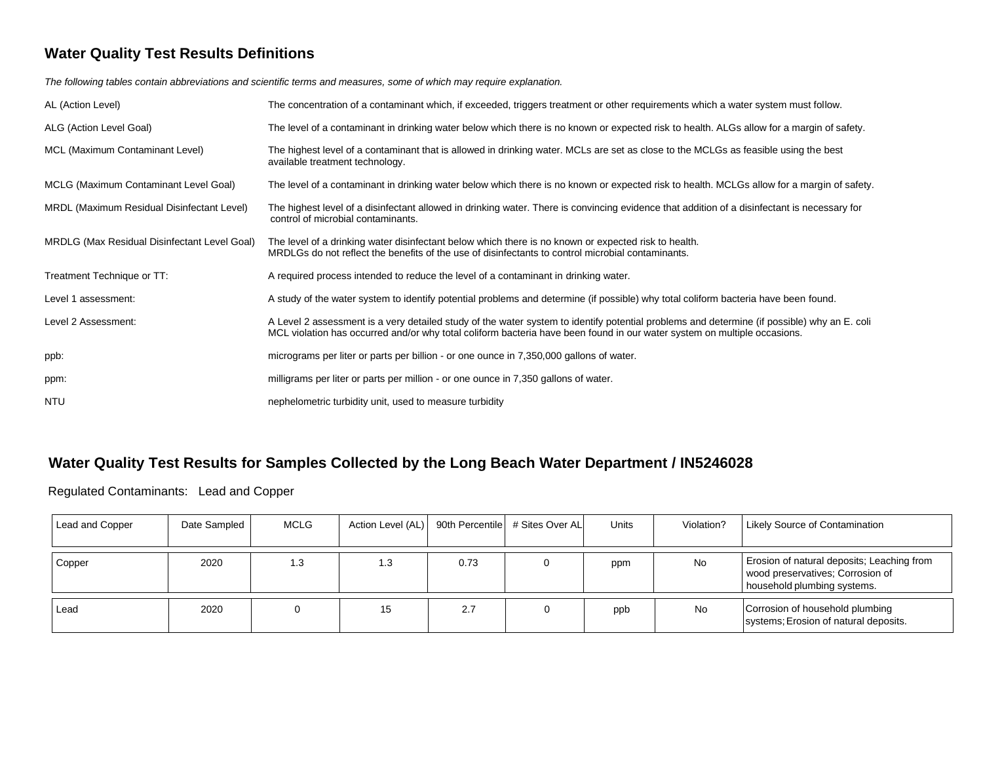# **Water Quality Test Results Definitions**

*The following tables contain abbreviations and scientific terms and measures, some of which may require explanation.*

| AL (Action Level)                            | The concentration of a contaminant which, if exceeded, triggers treatment or other requirements which a water system must follow.                                                                                                                                       |
|----------------------------------------------|-------------------------------------------------------------------------------------------------------------------------------------------------------------------------------------------------------------------------------------------------------------------------|
| ALG (Action Level Goal)                      | The level of a contaminant in drinking water below which there is no known or expected risk to health. ALGs allow for a margin of safety.                                                                                                                               |
| MCL (Maximum Contaminant Level)              | The highest level of a contaminant that is allowed in drinking water. MCLs are set as close to the MCLGs as feasible using the best<br>available treatment technology.                                                                                                  |
| MCLG (Maximum Contaminant Level Goal)        | The level of a contaminant in drinking water below which there is no known or expected risk to health. MCLGs allow for a margin of safety.                                                                                                                              |
| MRDL (Maximum Residual Disinfectant Level)   | The highest level of a disinfectant allowed in drinking water. There is convincing evidence that addition of a disinfectant is necessary for<br>control of microbial contaminants.                                                                                      |
| MRDLG (Max Residual Disinfectant Level Goal) | The level of a drinking water disinfectant below which there is no known or expected risk to health.<br>MRDLGs do not reflect the benefits of the use of disinfectants to control microbial contaminants.                                                               |
| Treatment Technique or TT:                   | A required process intended to reduce the level of a contaminant in drinking water.                                                                                                                                                                                     |
| Level 1 assessment:                          | A study of the water system to identify potential problems and determine (if possible) why total coliform bacteria have been found.                                                                                                                                     |
| Level 2 Assessment:                          | A Level 2 assessment is a very detailed study of the water system to identify potential problems and determine (if possible) why an E. coli<br>MCL violation has occurred and/or why total coliform bacteria have been found in our water system on multiple occasions. |
| ppb:                                         | micrograms per liter or parts per billion - or one ounce in 7,350,000 gallons of water.                                                                                                                                                                                 |
| ppm:                                         | milligrams per liter or parts per million - or one ounce in 7,350 gallons of water.                                                                                                                                                                                     |
| <b>NTU</b>                                   | nephelometric turbidity unit, used to measure turbidity                                                                                                                                                                                                                 |

# **Water Quality Test Results for Samples Collected by the Long Beach Water Department / IN5246028**

Regulated Contaminants: Lead and Copper

| Lead and Copper | Date Sampled | <b>MCLG</b> | Action Level (AL)   90th Percentile   # Sites Over AL |      | Units | Violation? | Likely Source of Contamination                                                                                |
|-----------------|--------------|-------------|-------------------------------------------------------|------|-------|------------|---------------------------------------------------------------------------------------------------------------|
| Copper          | 2020         | 1.3         | 1.3                                                   | 0.73 | ppm   | <b>No</b>  | Erosion of natural deposits; Leaching from<br>wood preservatives; Corrosion of<br>household plumbing systems. |
| Lead            | 2020         |             | 15                                                    | 2.7  | ppb   | No         | Corrosion of household plumbing<br>systems; Erosion of natural deposits.                                      |